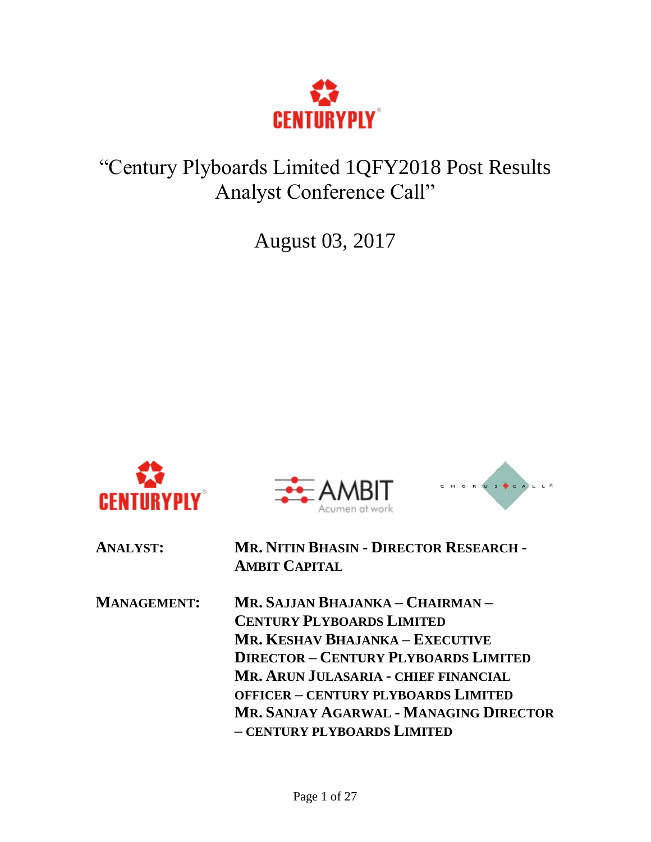

# "Century Plyboards Limited 1QFY2018 Post Results Analyst Conference Call"

August 03, 2017







| <b>ANALYST:</b>    | <b>MR. NITIN BHASIN - DIRECTOR RESEARCH -</b><br><b>AMBIT CAPITAL</b> |
|--------------------|-----------------------------------------------------------------------|
| <b>MANAGEMENT:</b> | Mr. Sajjan Bhajanka – Chairman –                                      |
|                    | <b>CENTURY PLYBOARDS LIMITED</b>                                      |
|                    | MR. KESHAV BHAJANKA – EXECUTIVE                                       |
|                    | <b>DIRECTOR - CENTURY PLYBOARDS LIMITED</b>                           |
|                    | MR. ARUN JULASARIA - CHIEF FINANCIAL                                  |
|                    | <b>OFFICER - CENTURY PLYBOARDS LIMITED</b>                            |
|                    | MR. SANJAY AGARWAL - MANAGING DIRECTOR                                |
|                    | - CENTURY PLYBOARDS LIMITED                                           |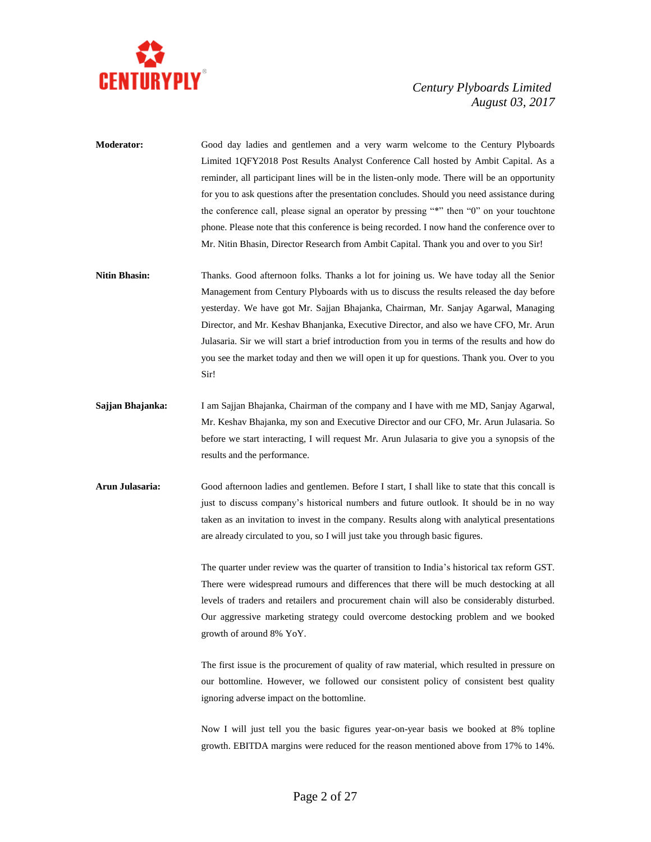

- **Moderator:** Good day ladies and gentlemen and a very warm welcome to the Century Plyboards Limited 1QFY2018 Post Results Analyst Conference Call hosted by Ambit Capital. As a reminder, all participant lines will be in the listen-only mode. There will be an opportunity for you to ask questions after the presentation concludes. Should you need assistance during the conference call, please signal an operator by pressing "\*" then "0" on your touchtone phone. Please note that this conference is being recorded. I now hand the conference over to Mr. Nitin Bhasin, Director Research from Ambit Capital. Thank you and over to you Sir!
- **Nitin Bhasin:** Thanks. Good afternoon folks. Thanks a lot for joining us. We have today all the Senior Management from Century Plyboards with us to discuss the results released the day before yesterday. We have got Mr. Sajjan Bhajanka, Chairman, Mr. Sanjay Agarwal, Managing Director, and Mr. Keshav Bhanjanka, Executive Director, and also we have CFO, Mr. Arun Julasaria. Sir we will start a brief introduction from you in terms of the results and how do you see the market today and then we will open it up for questions. Thank you. Over to you Sir!
- **Sajjan Bhajanka:** I am Sajjan Bhajanka, Chairman of the company and I have with me MD, Sanjay Agarwal, Mr. Keshav Bhajanka, my son and Executive Director and our CFO, Mr. Arun Julasaria. So before we start interacting, I will request Mr. Arun Julasaria to give you a synopsis of the results and the performance.
- **Arun Julasaria:** Good afternoon ladies and gentlemen. Before I start, I shall like to state that this concall is just to discuss company's historical numbers and future outlook. It should be in no way taken as an invitation to invest in the company. Results along with analytical presentations are already circulated to you, so I will just take you through basic figures.

The quarter under review was the quarter of transition to India's historical tax reform GST. There were widespread rumours and differences that there will be much destocking at all levels of traders and retailers and procurement chain will also be considerably disturbed. Our aggressive marketing strategy could overcome destocking problem and we booked growth of around 8% YoY.

The first issue is the procurement of quality of raw material, which resulted in pressure on our bottomline. However, we followed our consistent policy of consistent best quality ignoring adverse impact on the bottomline.

Now I will just tell you the basic figures year-on-year basis we booked at 8% topline growth. EBITDA margins were reduced for the reason mentioned above from 17% to 14%.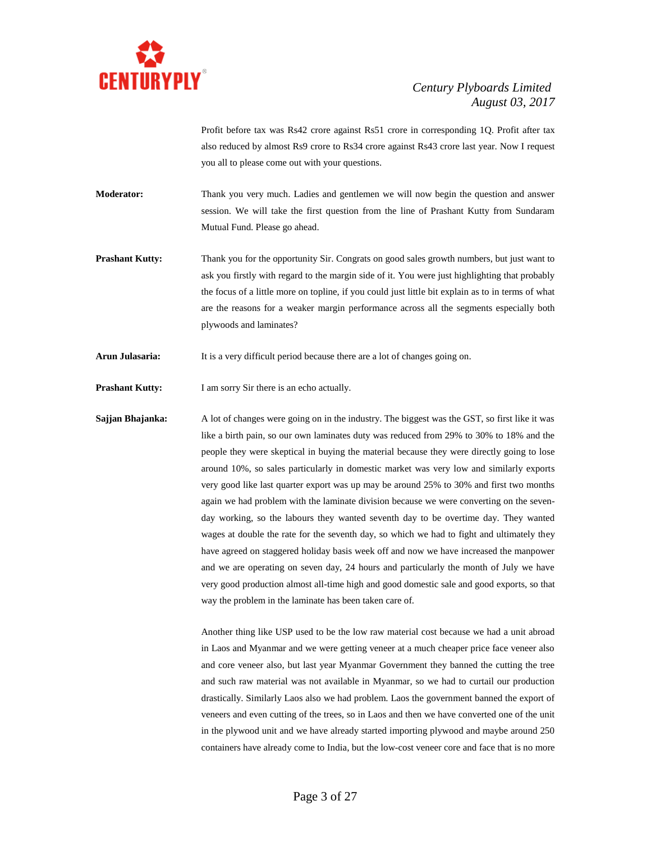

Profit before tax was Rs42 crore against Rs51 crore in corresponding 1Q. Profit after tax also reduced by almost Rs9 crore to Rs34 crore against Rs43 crore last year. Now I request you all to please come out with your questions.

**Moderator:** Thank you very much. Ladies and gentlemen we will now begin the question and answer session. We will take the first question from the line of Prashant Kutty from Sundaram Mutual Fund. Please go ahead.

**Prashant Kutty:** Thank you for the opportunity Sir. Congrats on good sales growth numbers, but just want to ask you firstly with regard to the margin side of it. You were just highlighting that probably the focus of a little more on topline, if you could just little bit explain as to in terms of what are the reasons for a weaker margin performance across all the segments especially both plywoods and laminates?

**Arun Julasaria:** It is a very difficult period because there are a lot of changes going on.

**Prashant Kutty:** I am sorry Sir there is an echo actually.

**Sajjan Bhajanka:** A lot of changes were going on in the industry. The biggest was the GST, so first like it was like a birth pain, so our own laminates duty was reduced from 29% to 30% to 18% and the people they were skeptical in buying the material because they were directly going to lose around 10%, so sales particularly in domestic market was very low and similarly exports very good like last quarter export was up may be around 25% to 30% and first two months again we had problem with the laminate division because we were converting on the sevenday working, so the labours they wanted seventh day to be overtime day. They wanted wages at double the rate for the seventh day, so which we had to fight and ultimately they have agreed on staggered holiday basis week off and now we have increased the manpower and we are operating on seven day, 24 hours and particularly the month of July we have very good production almost all-time high and good domestic sale and good exports, so that way the problem in the laminate has been taken care of.

> Another thing like USP used to be the low raw material cost because we had a unit abroad in Laos and Myanmar and we were getting veneer at a much cheaper price face veneer also and core veneer also, but last year Myanmar Government they banned the cutting the tree and such raw material was not available in Myanmar, so we had to curtail our production drastically. Similarly Laos also we had problem. Laos the government banned the export of veneers and even cutting of the trees, so in Laos and then we have converted one of the unit in the plywood unit and we have already started importing plywood and maybe around 250 containers have already come to India, but the low-cost veneer core and face that is no more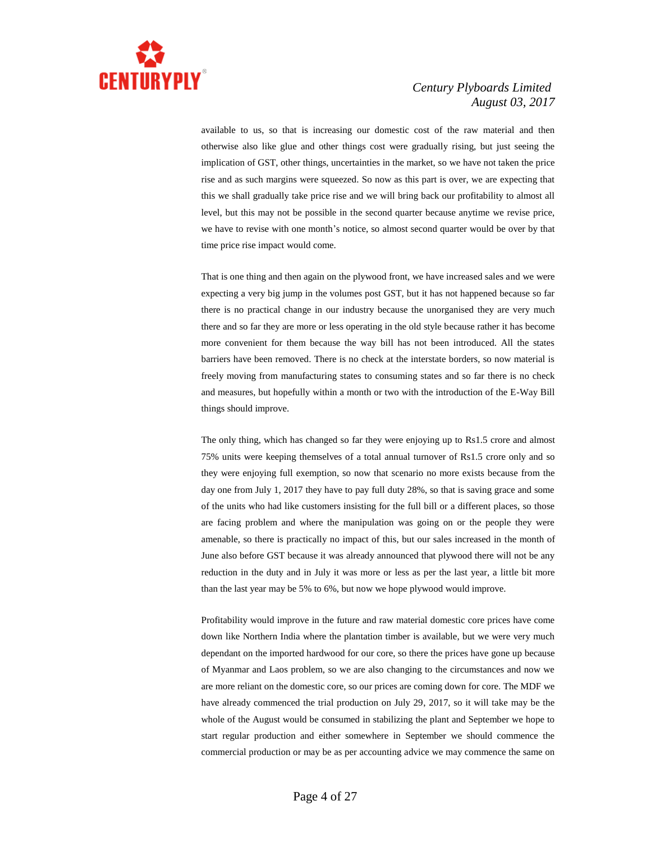

available to us, so that is increasing our domestic cost of the raw material and then otherwise also like glue and other things cost were gradually rising, but just seeing the implication of GST, other things, uncertainties in the market, so we have not taken the price rise and as such margins were squeezed. So now as this part is over, we are expecting that this we shall gradually take price rise and we will bring back our profitability to almost all level, but this may not be possible in the second quarter because anytime we revise price, we have to revise with one month's notice, so almost second quarter would be over by that time price rise impact would come.

That is one thing and then again on the plywood front, we have increased sales and we were expecting a very big jump in the volumes post GST, but it has not happened because so far there is no practical change in our industry because the unorganised they are very much there and so far they are more or less operating in the old style because rather it has become more convenient for them because the way bill has not been introduced. All the states barriers have been removed. There is no check at the interstate borders, so now material is freely moving from manufacturing states to consuming states and so far there is no check and measures, but hopefully within a month or two with the introduction of the E-Way Bill things should improve.

The only thing, which has changed so far they were enjoying up to Rs1.5 crore and almost 75% units were keeping themselves of a total annual turnover of Rs1.5 crore only and so they were enjoying full exemption, so now that scenario no more exists because from the day one from July 1, 2017 they have to pay full duty 28%, so that is saving grace and some of the units who had like customers insisting for the full bill or a different places, so those are facing problem and where the manipulation was going on or the people they were amenable, so there is practically no impact of this, but our sales increased in the month of June also before GST because it was already announced that plywood there will not be any reduction in the duty and in July it was more or less as per the last year, a little bit more than the last year may be 5% to 6%, but now we hope plywood would improve.

Profitability would improve in the future and raw material domestic core prices have come down like Northern India where the plantation timber is available, but we were very much dependant on the imported hardwood for our core, so there the prices have gone up because of Myanmar and Laos problem, so we are also changing to the circumstances and now we are more reliant on the domestic core, so our prices are coming down for core. The MDF we have already commenced the trial production on July 29, 2017, so it will take may be the whole of the August would be consumed in stabilizing the plant and September we hope to start regular production and either somewhere in September we should commence the commercial production or may be as per accounting advice we may commence the same on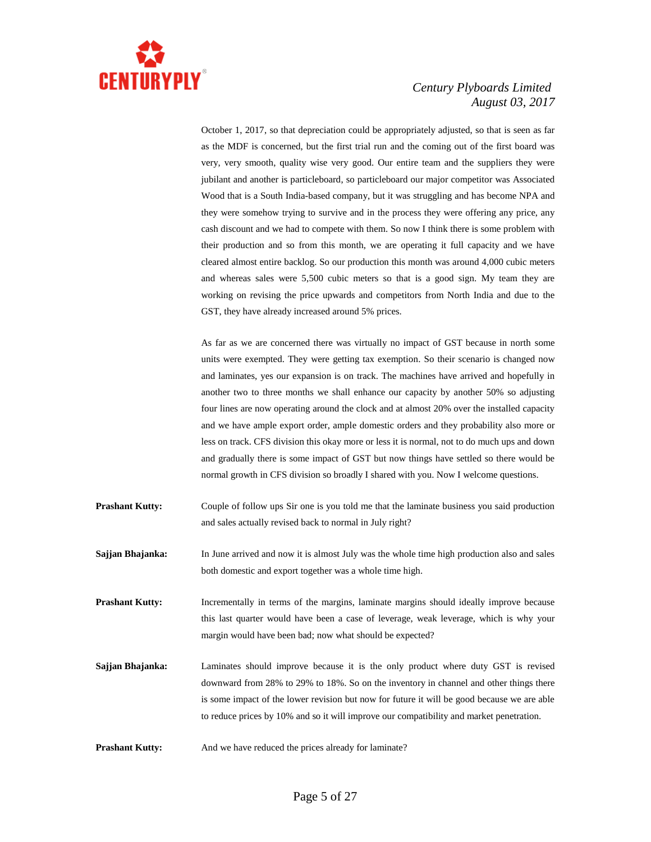

October 1, 2017, so that depreciation could be appropriately adjusted, so that is seen as far as the MDF is concerned, but the first trial run and the coming out of the first board was very, very smooth, quality wise very good. Our entire team and the suppliers they were jubilant and another is particleboard, so particleboard our major competitor was Associated Wood that is a South India-based company, but it was struggling and has become NPA and they were somehow trying to survive and in the process they were offering any price, any cash discount and we had to compete with them. So now I think there is some problem with their production and so from this month, we are operating it full capacity and we have cleared almost entire backlog. So our production this month was around 4,000 cubic meters and whereas sales were 5,500 cubic meters so that is a good sign. My team they are working on revising the price upwards and competitors from North India and due to the GST, they have already increased around 5% prices.

As far as we are concerned there was virtually no impact of GST because in north some units were exempted. They were getting tax exemption. So their scenario is changed now and laminates, yes our expansion is on track. The machines have arrived and hopefully in another two to three months we shall enhance our capacity by another 50% so adjusting four lines are now operating around the clock and at almost 20% over the installed capacity and we have ample export order, ample domestic orders and they probability also more or less on track. CFS division this okay more or less it is normal, not to do much ups and down and gradually there is some impact of GST but now things have settled so there would be normal growth in CFS division so broadly I shared with you. Now I welcome questions.

- **Prashant Kutty:** Couple of follow ups Sir one is you told me that the laminate business you said production and sales actually revised back to normal in July right?
- **Sajjan Bhajanka:** In June arrived and now it is almost July was the whole time high production also and sales both domestic and export together was a whole time high.
- **Prashant Kutty:** Incrementally in terms of the margins, laminate margins should ideally improve because this last quarter would have been a case of leverage, weak leverage, which is why your margin would have been bad; now what should be expected?
- **Sajjan Bhajanka:** Laminates should improve because it is the only product where duty GST is revised downward from 28% to 29% to 18%. So on the inventory in channel and other things there is some impact of the lower revision but now for future it will be good because we are able to reduce prices by 10% and so it will improve our compatibility and market penetration.
- **Prashant Kutty:** And we have reduced the prices already for laminate?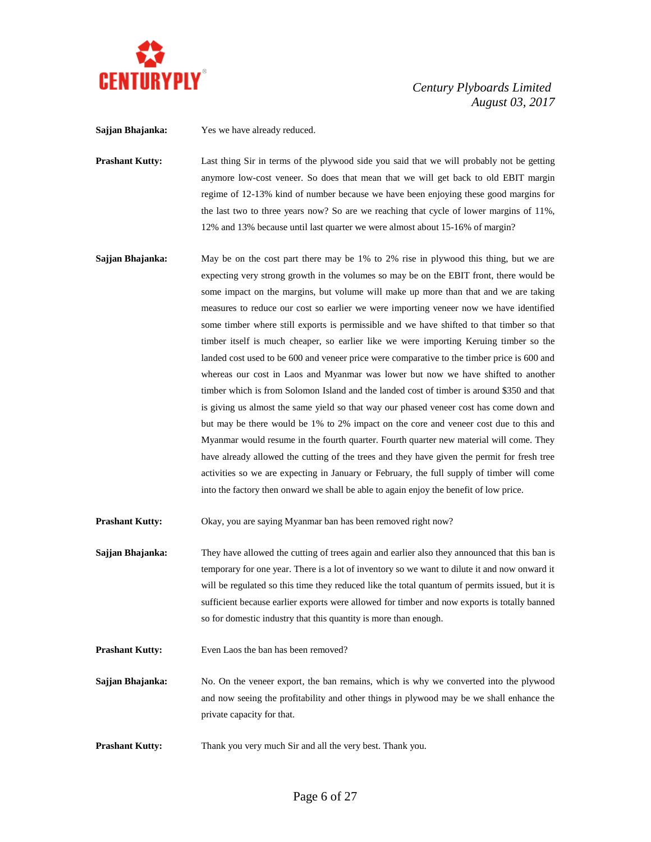

**Sajjan Bhajanka:** Yes we have already reduced.

**Prashant Kutty:** Last thing Sir in terms of the plywood side you said that we will probably not be getting anymore low-cost veneer. So does that mean that we will get back to old EBIT margin regime of 12-13% kind of number because we have been enjoying these good margins for the last two to three years now? So are we reaching that cycle of lower margins of 11%, 12% and 13% because until last quarter we were almost about 15-16% of margin?

**Sajjan Bhajanka:** May be on the cost part there may be 1% to 2% rise in plywood this thing, but we are expecting very strong growth in the volumes so may be on the EBIT front, there would be some impact on the margins, but volume will make up more than that and we are taking measures to reduce our cost so earlier we were importing veneer now we have identified some timber where still exports is permissible and we have shifted to that timber so that timber itself is much cheaper, so earlier like we were importing Keruing timber so the landed cost used to be 600 and veneer price were comparative to the timber price is 600 and whereas our cost in Laos and Myanmar was lower but now we have shifted to another timber which is from Solomon Island and the landed cost of timber is around \$350 and that is giving us almost the same yield so that way our phased veneer cost has come down and but may be there would be 1% to 2% impact on the core and veneer cost due to this and Myanmar would resume in the fourth quarter. Fourth quarter new material will come. They have already allowed the cutting of the trees and they have given the permit for fresh tree activities so we are expecting in January or February, the full supply of timber will come into the factory then onward we shall be able to again enjoy the benefit of low price.

**Prashant Kutty:** Okay, you are saying Myanmar ban has been removed right now?

**Sajjan Bhajanka:** They have allowed the cutting of trees again and earlier also they announced that this ban is temporary for one year. There is a lot of inventory so we want to dilute it and now onward it will be regulated so this time they reduced like the total quantum of permits issued, but it is sufficient because earlier exports were allowed for timber and now exports is totally banned so for domestic industry that this quantity is more than enough.

**Prashant Kutty:** Even Laos the ban has been removed?

**Sajjan Bhajanka:** No. On the veneer export, the ban remains, which is why we converted into the plywood and now seeing the profitability and other things in plywood may be we shall enhance the private capacity for that.

**Prashant Kutty:** Thank you very much Sir and all the very best. Thank you.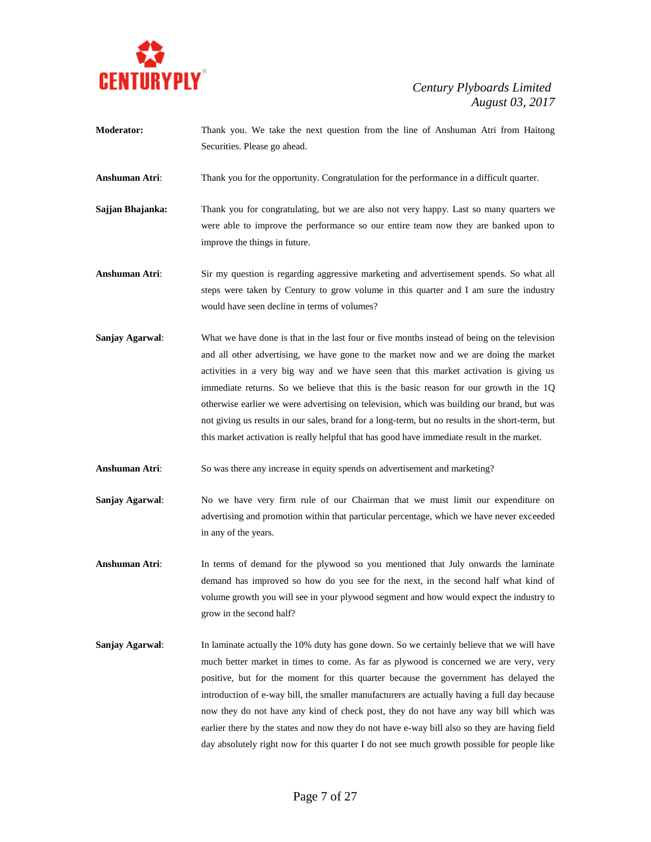

**Moderator:** Thank you. We take the next question from the line of Anshuman Atri from Haitong Securities. Please go ahead.

**Anshuman Atri**: Thank you for the opportunity. Congratulation for the performance in a difficult quarter.

- **Sajjan Bhajanka:** Thank you for congratulating, but we are also not very happy. Last so many quarters we were able to improve the performance so our entire team now they are banked upon to improve the things in future.
- **Anshuman Atri**: Sir my question is regarding aggressive marketing and advertisement spends. So what all steps were taken by Century to grow volume in this quarter and I am sure the industry would have seen decline in terms of volumes?
- **Sanjay Agarwal:** What we have done is that in the last four or five months instead of being on the television and all other advertising, we have gone to the market now and we are doing the market activities in a very big way and we have seen that this market activation is giving us immediate returns. So we believe that this is the basic reason for our growth in the 1Q otherwise earlier we were advertising on television, which was building our brand, but was not giving us results in our sales, brand for a long-term, but no results in the short-term, but this market activation is really helpful that has good have immediate result in the market.
- **Anshuman Atri**: So was there any increase in equity spends on advertisement and marketing?
- **Sanjay Agarwal**: No we have very firm rule of our Chairman that we must limit our expenditure on advertising and promotion within that particular percentage, which we have never exceeded in any of the years.
- **Anshuman Atri**: In terms of demand for the plywood so you mentioned that July onwards the laminate demand has improved so how do you see for the next, in the second half what kind of volume growth you will see in your plywood segment and how would expect the industry to grow in the second half?
- **Sanjay Agarwal:** In laminate actually the 10% duty has gone down. So we certainly believe that we will have much better market in times to come. As far as plywood is concerned we are very, very positive, but for the moment for this quarter because the government has delayed the introduction of e-way bill, the smaller manufacturers are actually having a full day because now they do not have any kind of check post, they do not have any way bill which was earlier there by the states and now they do not have e-way bill also so they are having field day absolutely right now for this quarter I do not see much growth possible for people like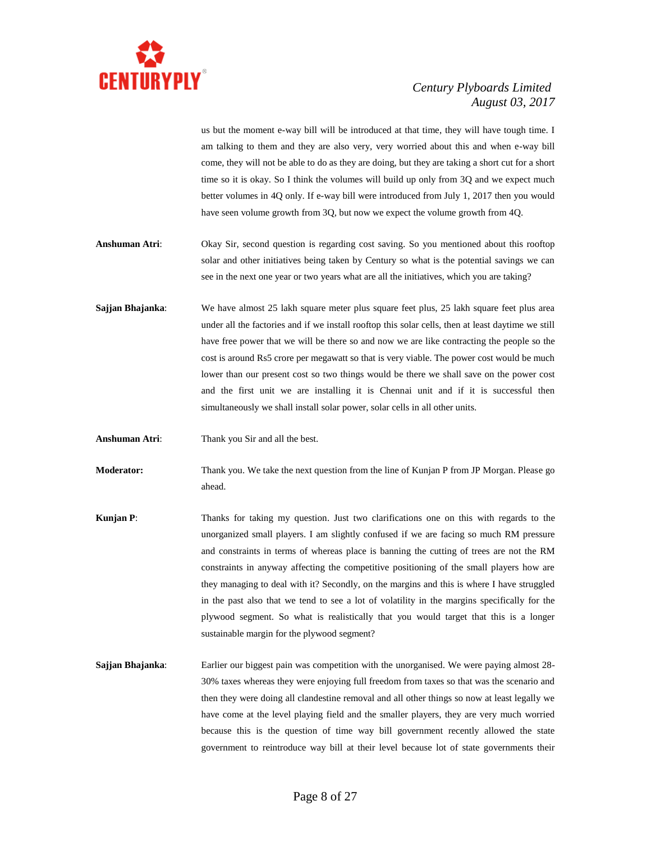

us but the moment e-way bill will be introduced at that time, they will have tough time. I am talking to them and they are also very, very worried about this and when e-way bill come, they will not be able to do as they are doing, but they are taking a short cut for a short time so it is okay. So I think the volumes will build up only from 3Q and we expect much better volumes in 4Q only. If e-way bill were introduced from July 1, 2017 then you would have seen volume growth from 3Q, but now we expect the volume growth from 4Q.

- **Anshuman Atri**: Okay Sir, second question is regarding cost saving. So you mentioned about this rooftop solar and other initiatives being taken by Century so what is the potential savings we can see in the next one year or two years what are all the initiatives, which you are taking?
- **Sajjan Bhajanka:** We have almost 25 lakh square meter plus square feet plus, 25 lakh square feet plus area under all the factories and if we install rooftop this solar cells, then at least daytime we still have free power that we will be there so and now we are like contracting the people so the cost is around Rs5 crore per megawatt so that is very viable. The power cost would be much lower than our present cost so two things would be there we shall save on the power cost and the first unit we are installing it is Chennai unit and if it is successful then simultaneously we shall install solar power, solar cells in all other units.
- **Anshuman Atri**: Thank you Sir and all the best.
- **Moderator:** Thank you. We take the next question from the line of Kunjan P from JP Morgan. Please go ahead.
- **Kunjan P**: Thanks for taking my question. Just two clarifications one on this with regards to the unorganized small players. I am slightly confused if we are facing so much RM pressure and constraints in terms of whereas place is banning the cutting of trees are not the RM constraints in anyway affecting the competitive positioning of the small players how are they managing to deal with it? Secondly, on the margins and this is where I have struggled in the past also that we tend to see a lot of volatility in the margins specifically for the plywood segment. So what is realistically that you would target that this is a longer sustainable margin for the plywood segment?
- **Sajjan Bhajanka:** Earlier our biggest pain was competition with the unorganised. We were paying almost 28-30% taxes whereas they were enjoying full freedom from taxes so that was the scenario and then they were doing all clandestine removal and all other things so now at least legally we have come at the level playing field and the smaller players, they are very much worried because this is the question of time way bill government recently allowed the state government to reintroduce way bill at their level because lot of state governments their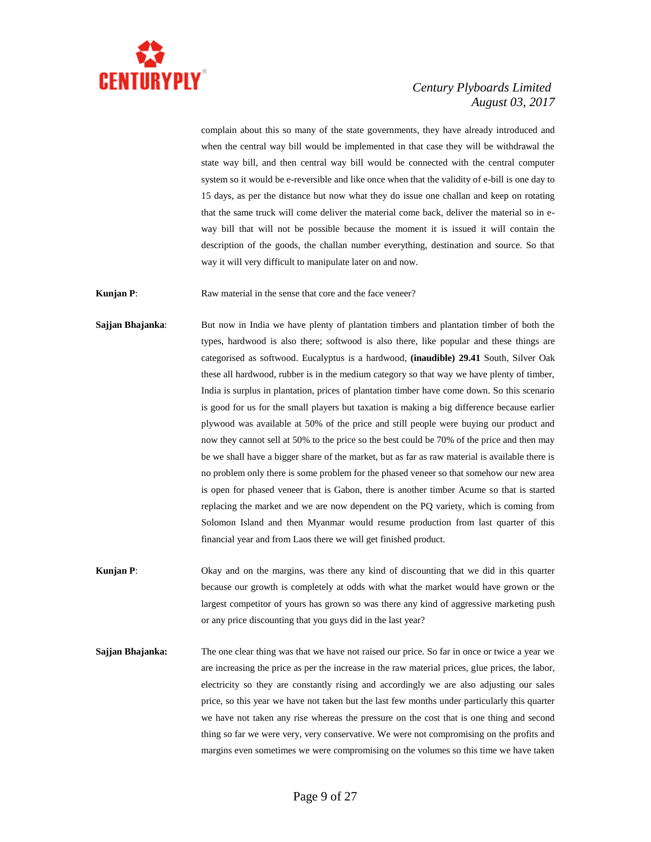

complain about this so many of the state governments, they have already introduced and when the central way bill would be implemented in that case they will be withdrawal the state way bill, and then central way bill would be connected with the central computer system so it would be e-reversible and like once when that the validity of e-bill is one day to 15 days, as per the distance but now what they do issue one challan and keep on rotating that the same truck will come deliver the material come back, deliver the material so in eway bill that will not be possible because the moment it is issued it will contain the description of the goods, the challan number everything, destination and source. So that way it will very difficult to manipulate later on and now.

**Kunjan P:** Raw material in the sense that core and the face veneer?

- **Sajjan Bhajanka**: But now in India we have plenty of plantation timbers and plantation timber of both the types, hardwood is also there; softwood is also there, like popular and these things are categorised as softwood. Eucalyptus is a hardwood, **(inaudible) 29.41** South, Silver Oak these all hardwood, rubber is in the medium category so that way we have plenty of timber, India is surplus in plantation, prices of plantation timber have come down. So this scenario is good for us for the small players but taxation is making a big difference because earlier plywood was available at 50% of the price and still people were buying our product and now they cannot sell at 50% to the price so the best could be 70% of the price and then may be we shall have a bigger share of the market, but as far as raw material is available there is no problem only there is some problem for the phased veneer so that somehow our new area is open for phased veneer that is Gabon, there is another timber Acume so that is started replacing the market and we are now dependent on the PQ variety, which is coming from Solomon Island and then Myanmar would resume production from last quarter of this financial year and from Laos there we will get finished product.
- **Kunjan P:** Okay and on the margins, was there any kind of discounting that we did in this quarter because our growth is completely at odds with what the market would have grown or the largest competitor of yours has grown so was there any kind of aggressive marketing push or any price discounting that you guys did in the last year?
- **Sajjan Bhajanka:** The one clear thing was that we have not raised our price. So far in once or twice a year we are increasing the price as per the increase in the raw material prices, glue prices, the labor, electricity so they are constantly rising and accordingly we are also adjusting our sales price, so this year we have not taken but the last few months under particularly this quarter we have not taken any rise whereas the pressure on the cost that is one thing and second thing so far we were very, very conservative. We were not compromising on the profits and margins even sometimes we were compromising on the volumes so this time we have taken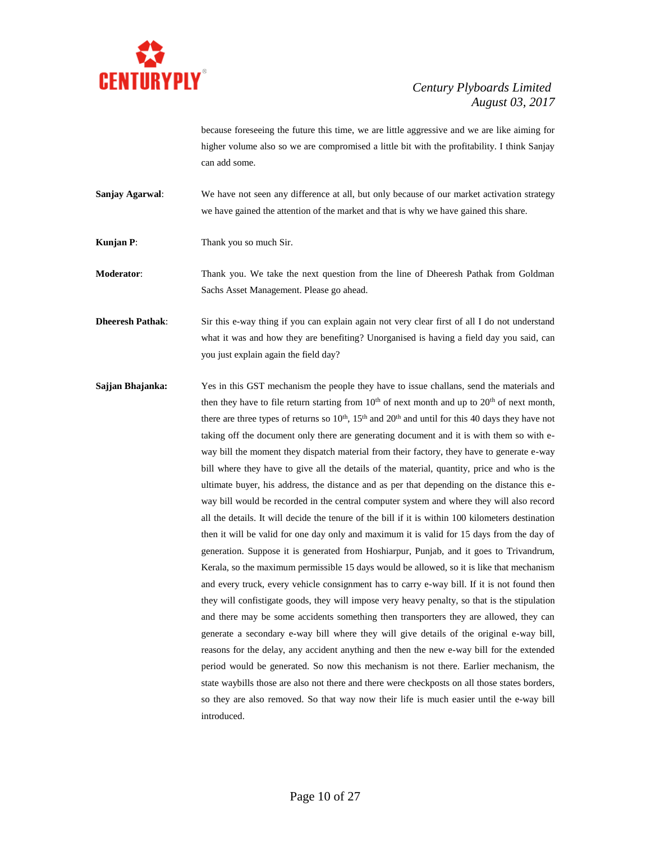

because foreseeing the future this time, we are little aggressive and we are like aiming for higher volume also so we are compromised a little bit with the profitability. I think Sanjay can add some.

- **Sanjay Agarwal:** We have not seen any difference at all, but only because of our market activation strategy we have gained the attention of the market and that is why we have gained this share.
- **Kunjan P:** Thank you so much Sir.

**Moderator**: Thank you. We take the next question from the line of Dheeresh Pathak from Goldman Sachs Asset Management. Please go ahead.

- **Dheeresh Pathak**: Sir this e-way thing if you can explain again not very clear first of all I do not understand what it was and how they are benefiting? Unorganised is having a field day you said, can you just explain again the field day?
- **Sajjan Bhajanka:** Yes in this GST mechanism the people they have to issue challans, send the materials and then they have to file return starting from  $10<sup>th</sup>$  of next month and up to  $20<sup>th</sup>$  of next month, there are three types of returns so  $10^{th}$ ,  $15^{th}$  and  $20^{th}$  and until for this 40 days they have not taking off the document only there are generating document and it is with them so with eway bill the moment they dispatch material from their factory, they have to generate e-way bill where they have to give all the details of the material, quantity, price and who is the ultimate buyer, his address, the distance and as per that depending on the distance this eway bill would be recorded in the central computer system and where they will also record all the details. It will decide the tenure of the bill if it is within 100 kilometers destination then it will be valid for one day only and maximum it is valid for 15 days from the day of generation. Suppose it is generated from Hoshiarpur, Punjab, and it goes to Trivandrum, Kerala, so the maximum permissible 15 days would be allowed, so it is like that mechanism and every truck, every vehicle consignment has to carry e-way bill. If it is not found then they will confistigate goods, they will impose very heavy penalty, so that is the stipulation and there may be some accidents something then transporters they are allowed, they can generate a secondary e-way bill where they will give details of the original e-way bill, reasons for the delay, any accident anything and then the new e-way bill for the extended period would be generated. So now this mechanism is not there. Earlier mechanism, the state waybills those are also not there and there were checkposts on all those states borders, so they are also removed. So that way now their life is much easier until the e-way bill introduced.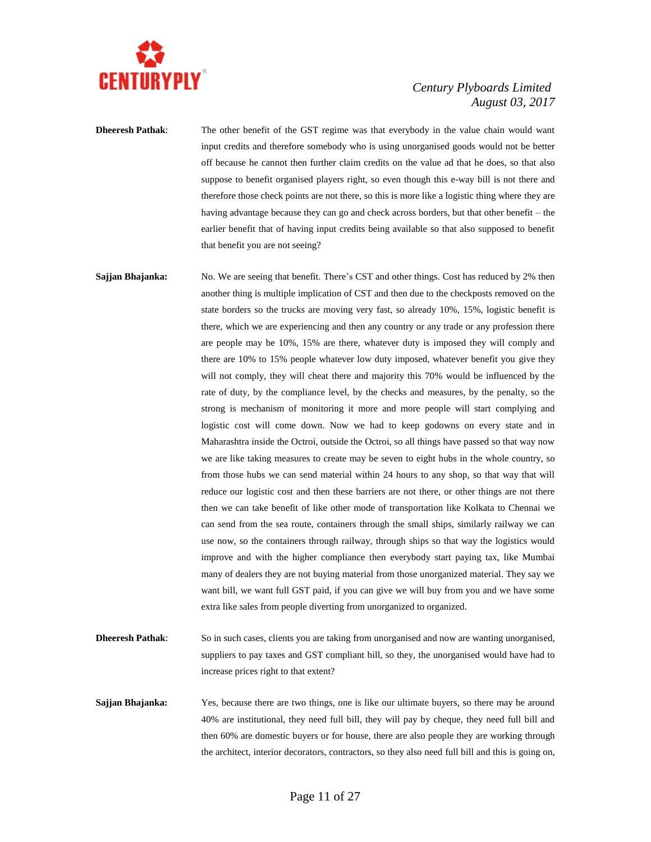

**Dheeresh Pathak:** The other benefit of the GST regime was that everybody in the value chain would want input credits and therefore somebody who is using unorganised goods would not be better off because he cannot then further claim credits on the value ad that he does, so that also suppose to benefit organised players right, so even though this e-way bill is not there and therefore those check points are not there, so this is more like a logistic thing where they are having advantage because they can go and check across borders, but that other benefit – the earlier benefit that of having input credits being available so that also supposed to benefit that benefit you are not seeing?

**Sajjan Bhajanka:** No. We are seeing that benefit. There's CST and other things. Cost has reduced by 2% then another thing is multiple implication of CST and then due to the checkposts removed on the state borders so the trucks are moving very fast, so already 10%, 15%, logistic benefit is there, which we are experiencing and then any country or any trade or any profession there are people may be 10%, 15% are there, whatever duty is imposed they will comply and there are 10% to 15% people whatever low duty imposed, whatever benefit you give they will not comply, they will cheat there and majority this 70% would be influenced by the rate of duty, by the compliance level, by the checks and measures, by the penalty, so the strong is mechanism of monitoring it more and more people will start complying and logistic cost will come down. Now we had to keep godowns on every state and in Maharashtra inside the Octroi, outside the Octroi, so all things have passed so that way now we are like taking measures to create may be seven to eight hubs in the whole country, so from those hubs we can send material within 24 hours to any shop, so that way that will reduce our logistic cost and then these barriers are not there, or other things are not there then we can take benefit of like other mode of transportation like Kolkata to Chennai we can send from the sea route, containers through the small ships, similarly railway we can use now, so the containers through railway, through ships so that way the logistics would improve and with the higher compliance then everybody start paying tax, like Mumbai many of dealers they are not buying material from those unorganized material. They say we want bill, we want full GST paid, if you can give we will buy from you and we have some extra like sales from people diverting from unorganized to organized.

**Dheeresh Pathak:** So in such cases, clients you are taking from unorganised and now are wanting unorganised, suppliers to pay taxes and GST compliant bill, so they, the unorganised would have had to increase prices right to that extent?

**Sajjan Bhajanka:** Yes, because there are two things, one is like our ultimate buyers, so there may be around 40% are institutional, they need full bill, they will pay by cheque, they need full bill and then 60% are domestic buyers or for house, there are also people they are working through the architect, interior decorators, contractors, so they also need full bill and this is going on,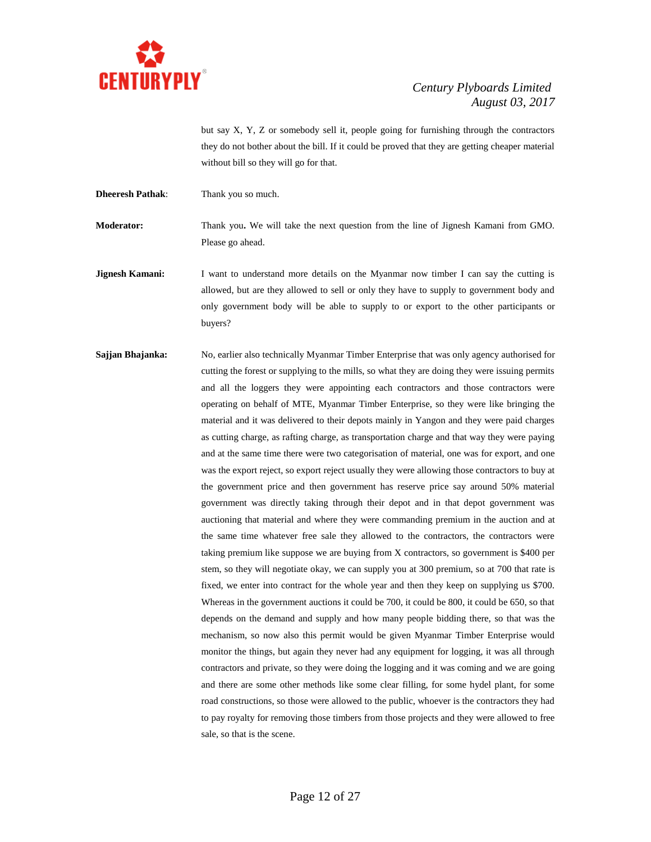

but say X, Y, Z or somebody sell it, people going for furnishing through the contractors they do not bother about the bill. If it could be proved that they are getting cheaper material without bill so they will go for that.

**Dheeresh Pathak**: Thank you so much.

**Moderator:** Thank you**.** We will take the next question from the line of Jignesh Kamani from GMO. Please go ahead.

- **Jignesh Kamani:** I want to understand more details on the Myanmar now timber I can say the cutting is allowed, but are they allowed to sell or only they have to supply to government body and only government body will be able to supply to or export to the other participants or buyers?
- **Sajjan Bhajanka:** No, earlier also technically Myanmar Timber Enterprise that was only agency authorised for cutting the forest or supplying to the mills, so what they are doing they were issuing permits and all the loggers they were appointing each contractors and those contractors were operating on behalf of MTE, Myanmar Timber Enterprise, so they were like bringing the material and it was delivered to their depots mainly in Yangon and they were paid charges as cutting charge, as rafting charge, as transportation charge and that way they were paying and at the same time there were two categorisation of material, one was for export, and one was the export reject, so export reject usually they were allowing those contractors to buy at the government price and then government has reserve price say around 50% material government was directly taking through their depot and in that depot government was auctioning that material and where they were commanding premium in the auction and at the same time whatever free sale they allowed to the contractors, the contractors were taking premium like suppose we are buying from X contractors, so government is \$400 per stem, so they will negotiate okay, we can supply you at 300 premium, so at 700 that rate is fixed, we enter into contract for the whole year and then they keep on supplying us \$700. Whereas in the government auctions it could be 700, it could be 800, it could be 650, so that depends on the demand and supply and how many people bidding there, so that was the mechanism, so now also this permit would be given Myanmar Timber Enterprise would monitor the things, but again they never had any equipment for logging, it was all through contractors and private, so they were doing the logging and it was coming and we are going and there are some other methods like some clear filling, for some hydel plant, for some road constructions, so those were allowed to the public, whoever is the contractors they had to pay royalty for removing those timbers from those projects and they were allowed to free sale, so that is the scene.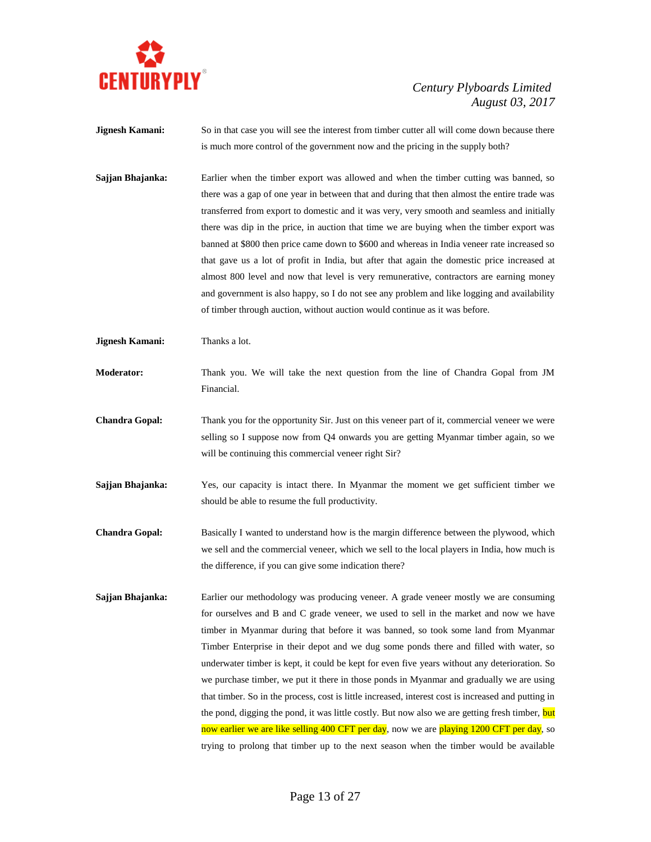

**Jignesh Kamani:** So in that case you will see the interest from timber cutter all will come down because there is much more control of the government now and the pricing in the supply both?

**Sajjan Bhajanka:** Earlier when the timber export was allowed and when the timber cutting was banned, so there was a gap of one year in between that and during that then almost the entire trade was transferred from export to domestic and it was very, very smooth and seamless and initially there was dip in the price, in auction that time we are buying when the timber export was banned at \$800 then price came down to \$600 and whereas in India veneer rate increased so that gave us a lot of profit in India, but after that again the domestic price increased at almost 800 level and now that level is very remunerative, contractors are earning money and government is also happy, so I do not see any problem and like logging and availability of timber through auction, without auction would continue as it was before.

**Jignesh Kamani:** Thanks a lot.

**Moderator:** Thank you. We will take the next question from the line of Chandra Gopal from JM Financial.

- **Chandra Gopal:** Thank you for the opportunity Sir. Just on this veneer part of it, commercial veneer we were selling so I suppose now from Q4 onwards you are getting Myanmar timber again, so we will be continuing this commercial veneer right Sir?
- **Sajjan Bhajanka:** Yes, our capacity is intact there. In Myanmar the moment we get sufficient timber we should be able to resume the full productivity.
- **Chandra Gopal:** Basically I wanted to understand how is the margin difference between the plywood, which we sell and the commercial veneer, which we sell to the local players in India, how much is the difference, if you can give some indication there?
- **Sajjan Bhajanka:** Earlier our methodology was producing veneer. A grade veneer mostly we are consuming for ourselves and B and C grade veneer, we used to sell in the market and now we have timber in Myanmar during that before it was banned, so took some land from Myanmar Timber Enterprise in their depot and we dug some ponds there and filled with water, so underwater timber is kept, it could be kept for even five years without any deterioration. So we purchase timber, we put it there in those ponds in Myanmar and gradually we are using that timber. So in the process, cost is little increased, interest cost is increased and putting in the pond, digging the pond, it was little costly. But now also we are getting fresh timber, but now earlier we are like selling 400 CFT per day, now we are playing 1200 CFT per day, so trying to prolong that timber up to the next season when the timber would be available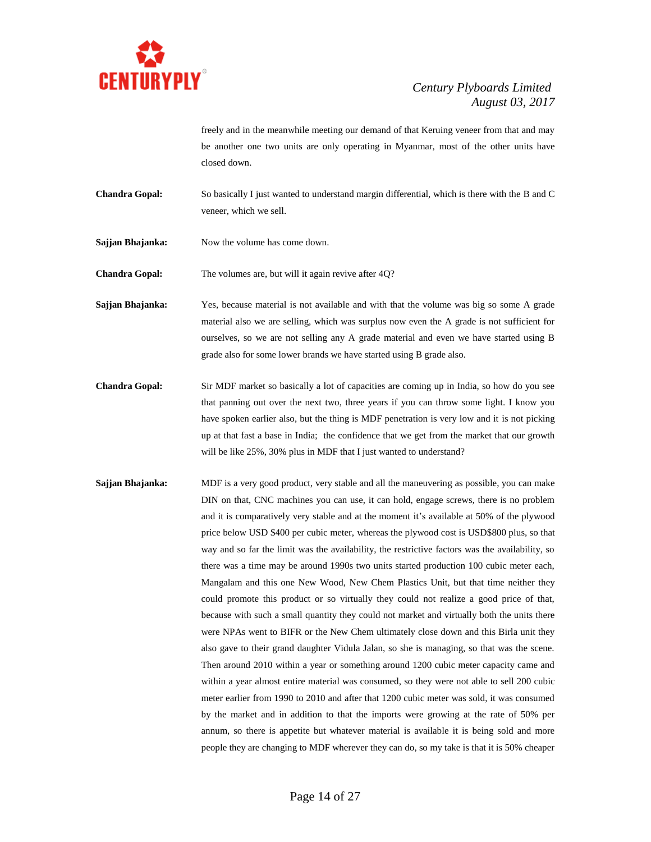

freely and in the meanwhile meeting our demand of that Keruing veneer from that and may be another one two units are only operating in Myanmar, most of the other units have closed down.

- **Chandra Gopal:** So basically I just wanted to understand margin differential, which is there with the B and C veneer, which we sell.
- **Sajjan Bhajanka:** Now the volume has come down.

**Chandra Gopal:** The volumes are, but will it again revive after 4Q?

- **Sajjan Bhajanka:** Yes, because material is not available and with that the volume was big so some A grade material also we are selling, which was surplus now even the A grade is not sufficient for ourselves, so we are not selling any A grade material and even we have started using B grade also for some lower brands we have started using B grade also.
- **Chandra Gopal:** Sir MDF market so basically a lot of capacities are coming up in India, so how do you see that panning out over the next two, three years if you can throw some light. I know you have spoken earlier also, but the thing is MDF penetration is very low and it is not picking up at that fast a base in India; the confidence that we get from the market that our growth will be like 25%, 30% plus in MDF that I just wanted to understand?
- **Sajjan Bhajanka:** MDF is a very good product, very stable and all the maneuvering as possible, you can make DIN on that, CNC machines you can use, it can hold, engage screws, there is no problem and it is comparatively very stable and at the moment it's available at 50% of the plywood price below USD \$400 per cubic meter, whereas the plywood cost is USD\$800 plus, so that way and so far the limit was the availability, the restrictive factors was the availability, so there was a time may be around 1990s two units started production 100 cubic meter each, Mangalam and this one New Wood, New Chem Plastics Unit, but that time neither they could promote this product or so virtually they could not realize a good price of that, because with such a small quantity they could not market and virtually both the units there were NPAs went to BIFR or the New Chem ultimately close down and this Birla unit they also gave to their grand daughter Vidula Jalan, so she is managing, so that was the scene. Then around 2010 within a year or something around 1200 cubic meter capacity came and within a year almost entire material was consumed, so they were not able to sell 200 cubic meter earlier from 1990 to 2010 and after that 1200 cubic meter was sold, it was consumed by the market and in addition to that the imports were growing at the rate of 50% per annum, so there is appetite but whatever material is available it is being sold and more people they are changing to MDF wherever they can do, so my take is that it is 50% cheaper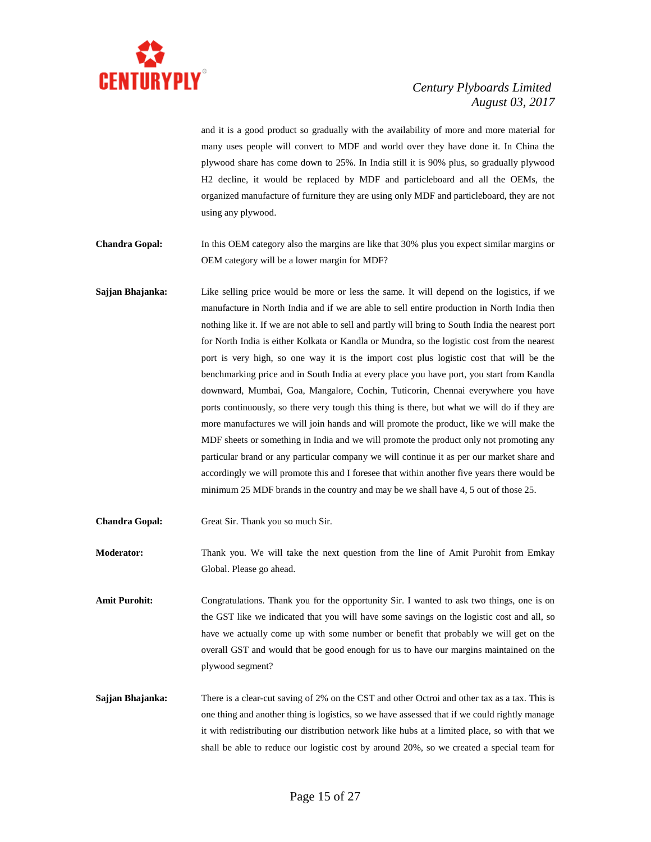

and it is a good product so gradually with the availability of more and more material for many uses people will convert to MDF and world over they have done it. In China the plywood share has come down to 25%. In India still it is 90% plus, so gradually plywood H2 decline, it would be replaced by MDF and particleboard and all the OEMs, the organized manufacture of furniture they are using only MDF and particleboard, they are not using any plywood.

**Chandra Gopal:** In this OEM category also the margins are like that 30% plus you expect similar margins or OEM category will be a lower margin for MDF?

- **Sajjan Bhajanka:** Like selling price would be more or less the same. It will depend on the logistics, if we manufacture in North India and if we are able to sell entire production in North India then nothing like it. If we are not able to sell and partly will bring to South India the nearest port for North India is either Kolkata or Kandla or Mundra, so the logistic cost from the nearest port is very high, so one way it is the import cost plus logistic cost that will be the benchmarking price and in South India at every place you have port, you start from Kandla downward, Mumbai, Goa, Mangalore, Cochin, Tuticorin, Chennai everywhere you have ports continuously, so there very tough this thing is there, but what we will do if they are more manufactures we will join hands and will promote the product, like we will make the MDF sheets or something in India and we will promote the product only not promoting any particular brand or any particular company we will continue it as per our market share and accordingly we will promote this and I foresee that within another five years there would be minimum 25 MDF brands in the country and may be we shall have 4, 5 out of those 25.
- **Chandra Gopal:** Great Sir. Thank you so much Sir.

**Moderator:** Thank you. We will take the next question from the line of Amit Purohit from Emkay Global. Please go ahead.

Amit Purohit: Congratulations. Thank you for the opportunity Sir. I wanted to ask two things, one is on the GST like we indicated that you will have some savings on the logistic cost and all, so have we actually come up with some number or benefit that probably we will get on the overall GST and would that be good enough for us to have our margins maintained on the plywood segment?

**Sajjan Bhajanka:** There is a clear-cut saving of 2% on the CST and other Octroi and other tax as a tax. This is one thing and another thing is logistics, so we have assessed that if we could rightly manage it with redistributing our distribution network like hubs at a limited place, so with that we shall be able to reduce our logistic cost by around 20%, so we created a special team for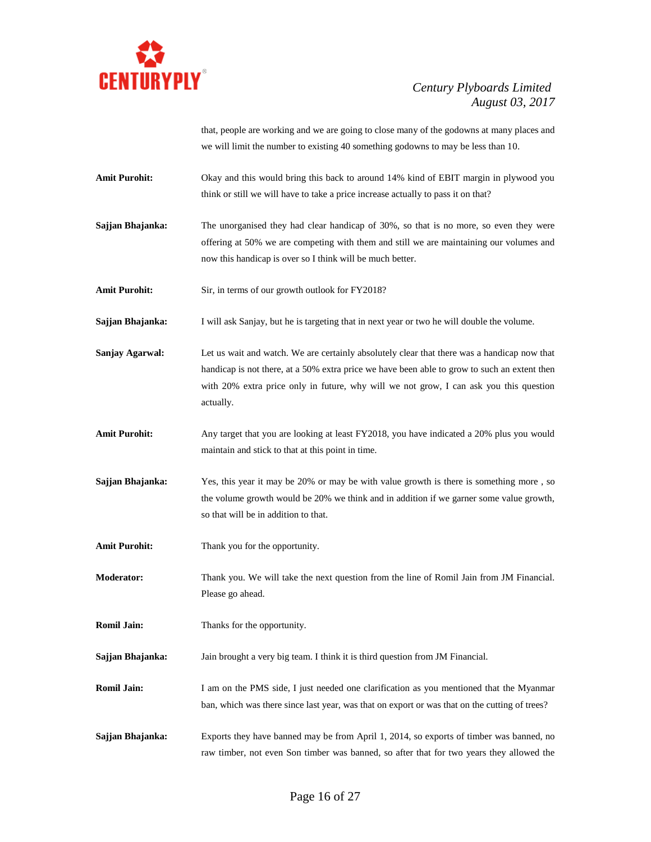

that, people are working and we are going to close many of the godowns at many places and we will limit the number to existing 40 something godowns to may be less than 10.

**Amit Purohit:** Okay and this would bring this back to around 14% kind of EBIT margin in plywood you think or still we will have to take a price increase actually to pass it on that?

**Sajjan Bhajanka:** The unorganised they had clear handicap of 30%, so that is no more, so even they were offering at 50% we are competing with them and still we are maintaining our volumes and now this handicap is over so I think will be much better.

Amit Purohit: Sir, in terms of our growth outlook for FY2018?

**Sajjan Bhajanka:** I will ask Sanjay, but he is targeting that in next year or two he will double the volume.

- **Sanjay Agarwal:** Let us wait and watch. We are certainly absolutely clear that there was a handicap now that handicap is not there, at a 50% extra price we have been able to grow to such an extent then with 20% extra price only in future, why will we not grow, I can ask you this question actually.
- **Amit Purohit:** Any target that you are looking at least FY2018, you have indicated a 20% plus you would maintain and stick to that at this point in time.
- **Sajjan Bhajanka:** Yes, this year it may be 20% or may be with value growth is there is something more, so the volume growth would be 20% we think and in addition if we garner some value growth, so that will be in addition to that.
- Amit Purohit: Thank you for the opportunity.

**Moderator:** Thank you. We will take the next question from the line of Romil Jain from JM Financial. Please go ahead.

**Romil Jain:** Thanks for the opportunity.

**Sajjan Bhajanka:** Jain brought a very big team. I think it is third question from JM Financial.

**Romil Jain:** I am on the PMS side, I just needed one clarification as you mentioned that the Myanmar ban, which was there since last year, was that on export or was that on the cutting of trees?

**Sajjan Bhajanka:** Exports they have banned may be from April 1, 2014, so exports of timber was banned, no raw timber, not even Son timber was banned, so after that for two years they allowed the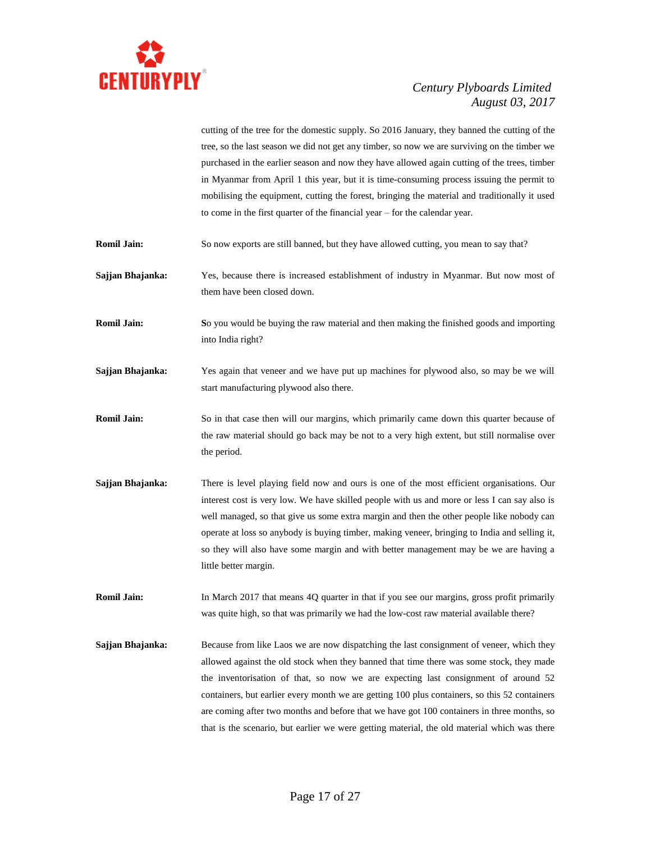

cutting of the tree for the domestic supply. So 2016 January, they banned the cutting of the tree, so the last season we did not get any timber, so now we are surviving on the timber we purchased in the earlier season and now they have allowed again cutting of the trees, timber in Myanmar from April 1 this year, but it is time-consuming process issuing the permit to mobilising the equipment, cutting the forest, bringing the material and traditionally it used to come in the first quarter of the financial year – for the calendar year.

- **Romil Jain:** So now exports are still banned, but they have allowed cutting, you mean to say that?
- **Sajjan Bhajanka:** Yes, because there is increased establishment of industry in Myanmar. But now most of them have been closed down.
- **Romil Jain: So** you would be buying the raw material and then making the finished goods and importing into India right?
- **Sajjan Bhajanka:** Yes again that veneer and we have put up machines for plywood also, so may be we will start manufacturing plywood also there.
- **Romil Jain:** So in that case then will our margins, which primarily came down this quarter because of the raw material should go back may be not to a very high extent, but still normalise over the period.
- **Sajjan Bhajanka:** There is level playing field now and ours is one of the most efficient organisations. Our interest cost is very low. We have skilled people with us and more or less I can say also is well managed, so that give us some extra margin and then the other people like nobody can operate at loss so anybody is buying timber, making veneer, bringing to India and selling it, so they will also have some margin and with better management may be we are having a little better margin.

**Romil Jain:** In March 2017 that means 4Q quarter in that if you see our margins, gross profit primarily was quite high, so that was primarily we had the low-cost raw material available there?

**Sajjan Bhajanka:** Because from like Laos we are now dispatching the last consignment of veneer, which they allowed against the old stock when they banned that time there was some stock, they made the inventorisation of that, so now we are expecting last consignment of around 52 containers, but earlier every month we are getting 100 plus containers, so this 52 containers are coming after two months and before that we have got 100 containers in three months, so that is the scenario, but earlier we were getting material, the old material which was there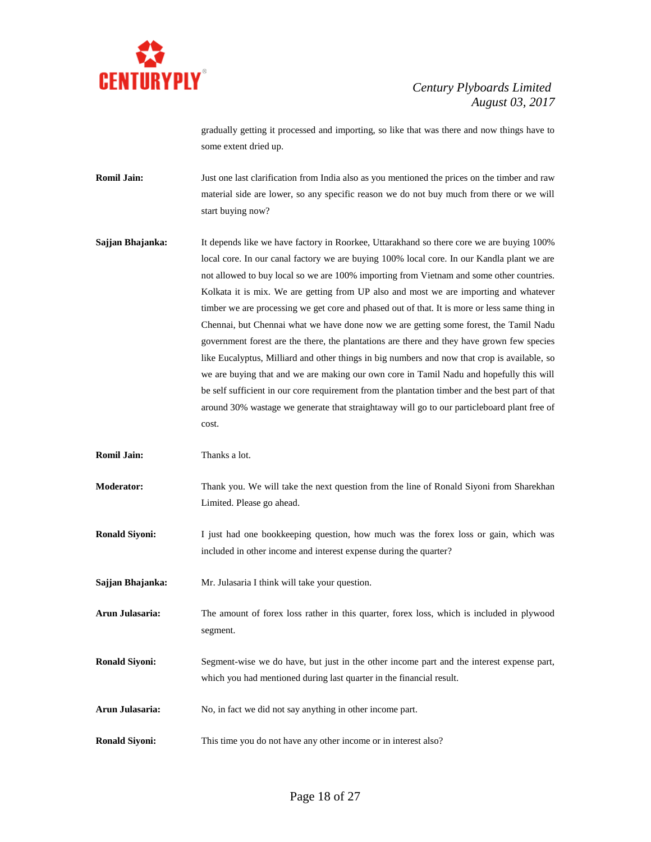

gradually getting it processed and importing, so like that was there and now things have to some extent dried up.

- **Romil Jain:** Just one last clarification from India also as you mentioned the prices on the timber and raw material side are lower, so any specific reason we do not buy much from there or we will start buying now?
- **Sajjan Bhajanka:** It depends like we have factory in Roorkee, Uttarakhand so there core we are buying 100% local core. In our canal factory we are buying 100% local core. In our Kandla plant we are not allowed to buy local so we are 100% importing from Vietnam and some other countries. Kolkata it is mix. We are getting from UP also and most we are importing and whatever timber we are processing we get core and phased out of that. It is more or less same thing in Chennai, but Chennai what we have done now we are getting some forest, the Tamil Nadu government forest are the there, the plantations are there and they have grown few species like Eucalyptus, Milliard and other things in big numbers and now that crop is available, so we are buying that and we are making our own core in Tamil Nadu and hopefully this will be self sufficient in our core requirement from the plantation timber and the best part of that around 30% wastage we generate that straightaway will go to our particleboard plant free of cost.

**Romil Jain:** Thanks a lot.

**Moderator:** Thank you. We will take the next question from the line of Ronald Siyoni from Sharekhan Limited. Please go ahead.

**Ronald Siyoni:** I just had one bookkeeping question, how much was the forex loss or gain, which was included in other income and interest expense during the quarter?

**Sajjan Bhajanka:** Mr. Julasaria I think will take your question.

**Arun Julasaria:** The amount of forex loss rather in this quarter, forex loss, which is included in plywood segment.

**Ronald Siyoni:** Segment-wise we do have, but just in the other income part and the interest expense part, which you had mentioned during last quarter in the financial result.

**Arun Julasaria:** No, in fact we did not say anything in other income part.

**Ronald Siyoni:** This time you do not have any other income or in interest also?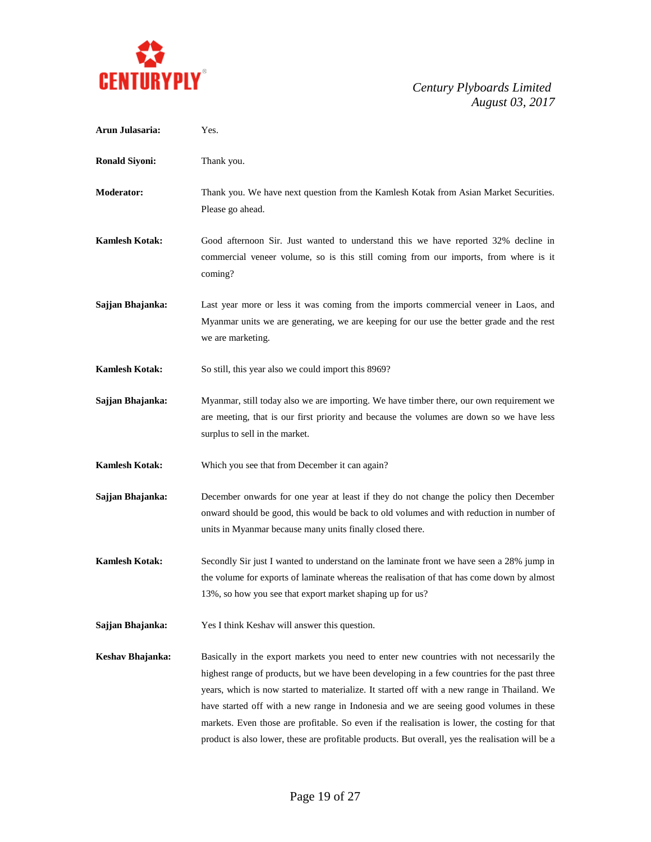

| Arun Julasaria:       | Yes.                                                                                                                                                                                                                                                                                                                                                                                                                                                                                                                                                                                   |
|-----------------------|----------------------------------------------------------------------------------------------------------------------------------------------------------------------------------------------------------------------------------------------------------------------------------------------------------------------------------------------------------------------------------------------------------------------------------------------------------------------------------------------------------------------------------------------------------------------------------------|
| <b>Ronald Siyoni:</b> | Thank you.                                                                                                                                                                                                                                                                                                                                                                                                                                                                                                                                                                             |
| <b>Moderator:</b>     | Thank you. We have next question from the Kamlesh Kotak from Asian Market Securities.<br>Please go ahead.                                                                                                                                                                                                                                                                                                                                                                                                                                                                              |
| <b>Kamlesh Kotak:</b> | Good afternoon Sir. Just wanted to understand this we have reported 32% decline in<br>commercial veneer volume, so is this still coming from our imports, from where is it<br>coming?                                                                                                                                                                                                                                                                                                                                                                                                  |
| Sajjan Bhajanka:      | Last year more or less it was coming from the imports commercial veneer in Laos, and<br>Myanmar units we are generating, we are keeping for our use the better grade and the rest<br>we are marketing.                                                                                                                                                                                                                                                                                                                                                                                 |
| <b>Kamlesh Kotak:</b> | So still, this year also we could import this 8969?                                                                                                                                                                                                                                                                                                                                                                                                                                                                                                                                    |
| Sajjan Bhajanka:      | Myanmar, still today also we are importing. We have timber there, our own requirement we<br>are meeting, that is our first priority and because the volumes are down so we have less<br>surplus to sell in the market.                                                                                                                                                                                                                                                                                                                                                                 |
| <b>Kamlesh Kotak:</b> | Which you see that from December it can again?                                                                                                                                                                                                                                                                                                                                                                                                                                                                                                                                         |
| Sajjan Bhajanka:      | December onwards for one year at least if they do not change the policy then December<br>onward should be good, this would be back to old volumes and with reduction in number of<br>units in Myanmar because many units finally closed there.                                                                                                                                                                                                                                                                                                                                         |
| <b>Kamlesh Kotak:</b> | Secondly Sir just I wanted to understand on the laminate front we have seen a 28% jump in<br>the volume for exports of laminate whereas the realisation of that has come down by almost<br>13%, so how you see that export market shaping up for us?                                                                                                                                                                                                                                                                                                                                   |
| Sajjan Bhajanka:      | Yes I think Keshav will answer this question.                                                                                                                                                                                                                                                                                                                                                                                                                                                                                                                                          |
| Keshav Bhajanka:      | Basically in the export markets you need to enter new countries with not necessarily the<br>highest range of products, but we have been developing in a few countries for the past three<br>years, which is now started to materialize. It started off with a new range in Thailand. We<br>have started off with a new range in Indonesia and we are seeing good volumes in these<br>markets. Even those are profitable. So even if the realisation is lower, the costing for that<br>product is also lower, these are profitable products. But overall, yes the realisation will be a |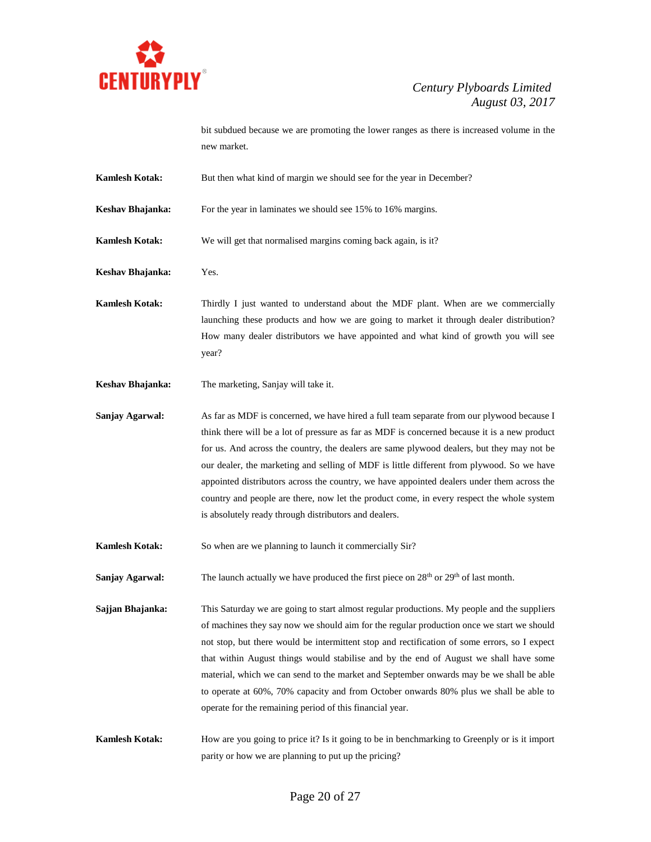

bit subdued because we are promoting the lower ranges as there is increased volume in the new market.

- **Kamlesh Kotak:** But then what kind of margin we should see for the year in December?
- **Keshav Bhajanka:** For the year in laminates we should see 15% to 16% margins.
- **Kamlesh Kotak:** We will get that normalised margins coming back again, is it?
- **Keshav Bhajanka:** Yes.
- **Kamlesh Kotak:** Thirdly I just wanted to understand about the MDF plant. When are we commercially launching these products and how we are going to market it through dealer distribution? How many dealer distributors we have appointed and what kind of growth you will see year?
- **Keshav Bhajanka:** The marketing, Sanjay will take it.

**Sanjay Agarwal:** As far as MDF is concerned, we have hired a full team separate from our plywood because I think there will be a lot of pressure as far as MDF is concerned because it is a new product for us. And across the country, the dealers are same plywood dealers, but they may not be our dealer, the marketing and selling of MDF is little different from plywood. So we have appointed distributors across the country, we have appointed dealers under them across the country and people are there, now let the product come, in every respect the whole system is absolutely ready through distributors and dealers.

- **Kamlesh Kotak:** So when are we planning to launch it commercially Sir?
- Sanjay Agarwal: The launch actually we have produced the first piece on 28<sup>th</sup> or 29<sup>th</sup> of last month.
- **Sajjan Bhajanka:** This Saturday we are going to start almost regular productions. My people and the suppliers of machines they say now we should aim for the regular production once we start we should not stop, but there would be intermittent stop and rectification of some errors, so I expect that within August things would stabilise and by the end of August we shall have some material, which we can send to the market and September onwards may be we shall be able to operate at 60%, 70% capacity and from October onwards 80% plus we shall be able to operate for the remaining period of this financial year.
- **Kamlesh Kotak:** How are you going to price it? Is it going to be in benchmarking to Greenply or is it import parity or how we are planning to put up the pricing?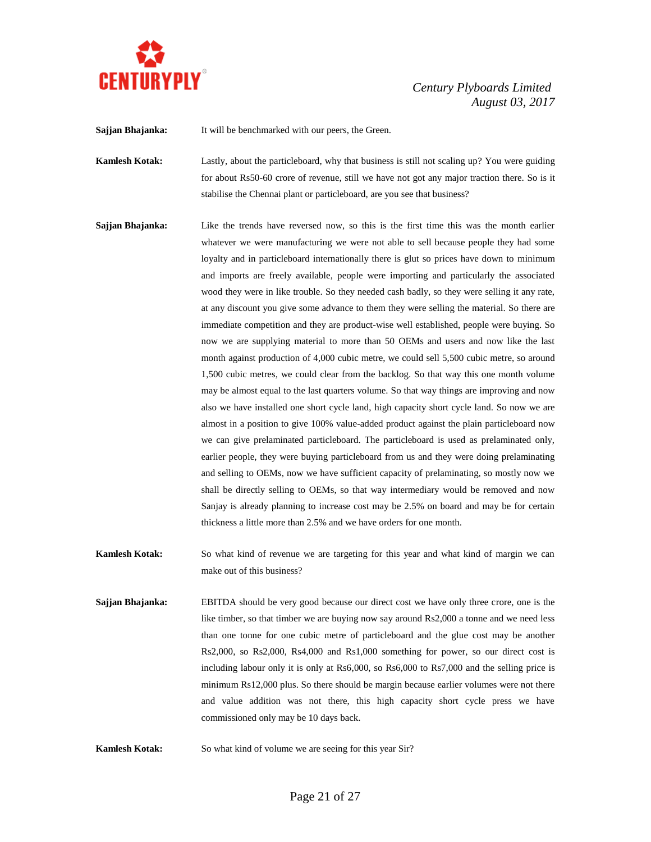

**Sajjan Bhajanka:** It will be benchmarked with our peers, the Green.

**Kamlesh Kotak:** Lastly, about the particleboard, why that business is still not scaling up? You were guiding for about Rs50-60 crore of revenue, still we have not got any major traction there. So is it stabilise the Chennai plant or particleboard, are you see that business?

- **Sajjan Bhajanka:** Like the trends have reversed now, so this is the first time this was the month earlier whatever we were manufacturing we were not able to sell because people they had some loyalty and in particleboard internationally there is glut so prices have down to minimum and imports are freely available, people were importing and particularly the associated wood they were in like trouble. So they needed cash badly, so they were selling it any rate, at any discount you give some advance to them they were selling the material. So there are immediate competition and they are product-wise well established, people were buying. So now we are supplying material to more than 50 OEMs and users and now like the last month against production of 4,000 cubic metre, we could sell 5,500 cubic metre, so around 1,500 cubic metres, we could clear from the backlog. So that way this one month volume may be almost equal to the last quarters volume. So that way things are improving and now also we have installed one short cycle land, high capacity short cycle land. So now we are almost in a position to give 100% value-added product against the plain particleboard now we can give prelaminated particleboard. The particleboard is used as prelaminated only, earlier people, they were buying particleboard from us and they were doing prelaminating and selling to OEMs, now we have sufficient capacity of prelaminating, so mostly now we shall be directly selling to OEMs, so that way intermediary would be removed and now Sanjay is already planning to increase cost may be 2.5% on board and may be for certain thickness a little more than 2.5% and we have orders for one month.
- **Kamlesh Kotak:** So what kind of revenue we are targeting for this year and what kind of margin we can make out of this business?
- **Sajjan Bhajanka:** EBITDA should be very good because our direct cost we have only three crore, one is the like timber, so that timber we are buying now say around Rs2,000 a tonne and we need less than one tonne for one cubic metre of particleboard and the glue cost may be another Rs2,000, so Rs2,000, Rs4,000 and Rs1,000 something for power, so our direct cost is including labour only it is only at Rs6,000, so Rs6,000 to Rs7,000 and the selling price is minimum Rs12,000 plus. So there should be margin because earlier volumes were not there and value addition was not there, this high capacity short cycle press we have commissioned only may be 10 days back.
- **Kamlesh Kotak:** So what kind of volume we are seeing for this year Sir?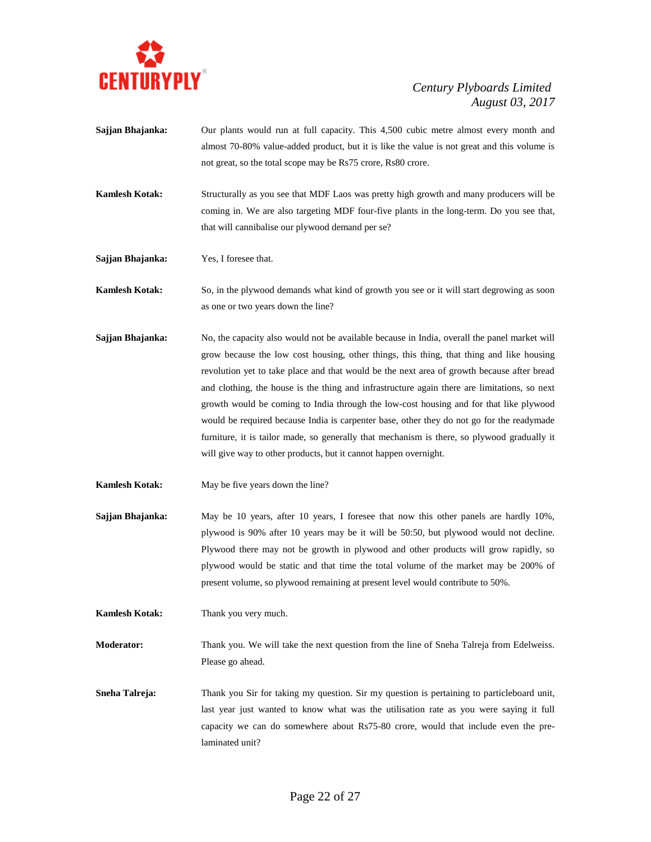

- **Sajjan Bhajanka:** Our plants would run at full capacity. This 4,500 cubic metre almost every month and almost 70-80% value-added product, but it is like the value is not great and this volume is not great, so the total scope may be Rs75 crore, Rs80 crore.
- **Kamlesh Kotak:** Structurally as you see that MDF Laos was pretty high growth and many producers will be coming in. We are also targeting MDF four-five plants in the long-term. Do you see that, that will cannibalise our plywood demand per se?

**Sajjan Bhajanka:** Yes, I foresee that.

**Kamlesh Kotak:** So, in the plywood demands what kind of growth you see or it will start degrowing as soon as one or two years down the line?

- **Sajjan Bhajanka:** No, the capacity also would not be available because in India, overall the panel market will grow because the low cost housing, other things, this thing, that thing and like housing revolution yet to take place and that would be the next area of growth because after bread and clothing, the house is the thing and infrastructure again there are limitations, so next growth would be coming to India through the low-cost housing and for that like plywood would be required because India is carpenter base, other they do not go for the readymade furniture, it is tailor made, so generally that mechanism is there, so plywood gradually it will give way to other products, but it cannot happen overnight.
- **Kamlesh Kotak:** May be five years down the line?
- **Sajjan Bhajanka:** May be 10 years, after 10 years, I foresee that now this other panels are hardly 10%, plywood is 90% after 10 years may be it will be 50:50, but plywood would not decline. Plywood there may not be growth in plywood and other products will grow rapidly, so plywood would be static and that time the total volume of the market may be 200% of present volume, so plywood remaining at present level would contribute to 50%.

**Kamlesh Kotak:** Thank you very much.

**Moderator:** Thank you. We will take the next question from the line of Sneha Talreja from Edelweiss. Please go ahead.

**Sneha Talreja:** Thank you Sir for taking my question. Sir my question is pertaining to particleboard unit, last year just wanted to know what was the utilisation rate as you were saying it full capacity we can do somewhere about Rs75-80 crore, would that include even the prelaminated unit?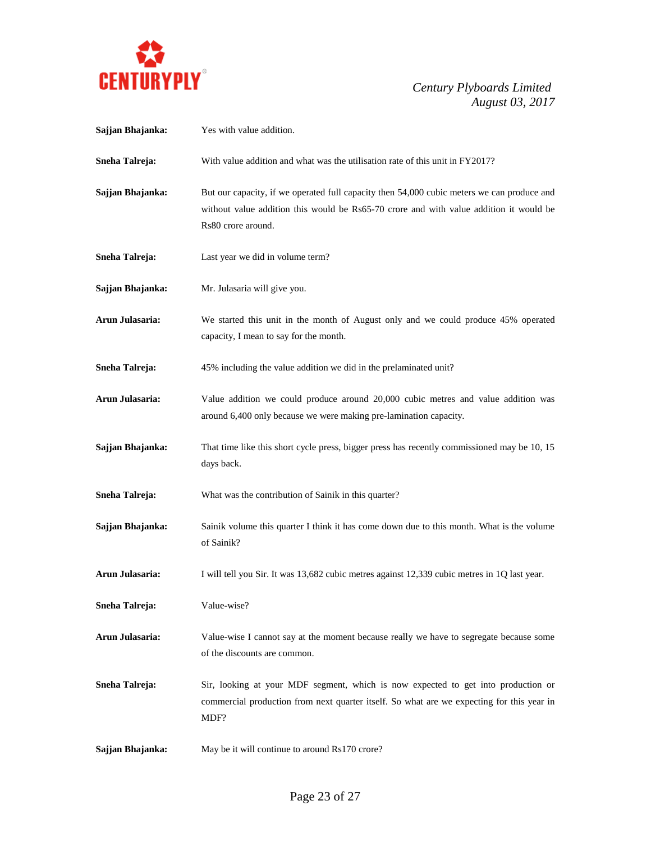

| Sajjan Bhajanka:      | Yes with value addition.                                                                                                                                                                                   |
|-----------------------|------------------------------------------------------------------------------------------------------------------------------------------------------------------------------------------------------------|
| <b>Sneha Talreja:</b> | With value addition and what was the utilisation rate of this unit in FY2017?                                                                                                                              |
| Sajjan Bhajanka:      | But our capacity, if we operated full capacity then 54,000 cubic meters we can produce and<br>without value addition this would be Rs65-70 crore and with value addition it would be<br>Rs80 crore around. |
| Sneha Talreja:        | Last year we did in volume term?                                                                                                                                                                           |
| Sajjan Bhajanka:      | Mr. Julasaria will give you.                                                                                                                                                                               |
| Arun Julasaria:       | We started this unit in the month of August only and we could produce 45% operated<br>capacity, I mean to say for the month.                                                                               |
| Sneha Talreja:        | 45% including the value addition we did in the prelaminated unit?                                                                                                                                          |
| Arun Julasaria:       | Value addition we could produce around 20,000 cubic metres and value addition was<br>around 6,400 only because we were making pre-lamination capacity.                                                     |
| Sajjan Bhajanka:      | That time like this short cycle press, bigger press has recently commissioned may be 10, 15<br>days back.                                                                                                  |
| Sneha Talreja:        | What was the contribution of Sainik in this quarter?                                                                                                                                                       |
| Sajjan Bhajanka:      | Sainik volume this quarter I think it has come down due to this month. What is the volume<br>of Sainik?                                                                                                    |
| Arun Julasaria:       | I will tell you Sir. It was 13,682 cubic metres against 12,339 cubic metres in 1Q last year.                                                                                                               |
| Sneha Talreja:        | Value-wise?                                                                                                                                                                                                |
| Arun Julasaria:       | Value-wise I cannot say at the moment because really we have to segregate because some<br>of the discounts are common.                                                                                     |
| Sneha Talreja:        | Sir, looking at your MDF segment, which is now expected to get into production or<br>commercial production from next quarter itself. So what are we expecting for this year in<br>MDF?                     |
| Sajjan Bhajanka:      | May be it will continue to around Rs170 crore?                                                                                                                                                             |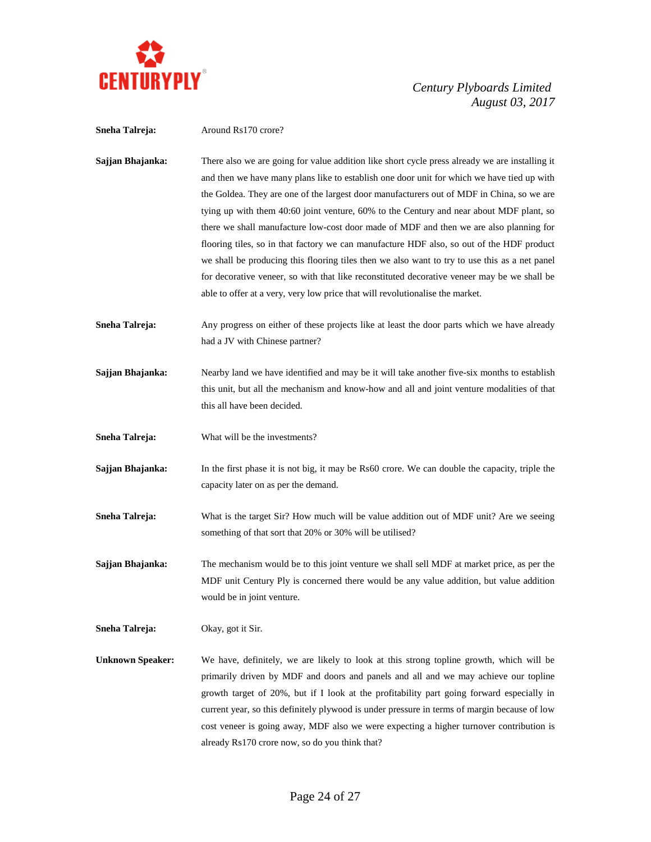

**Sneha Talreja:** Around Rs170 crore? **Sajjan Bhajanka:** There also we are going for value addition like short cycle press already we are installing it and then we have many plans like to establish one door unit for which we have tied up with the Goldea. They are one of the largest door manufacturers out of MDF in China, so we are tying up with them 40:60 joint venture, 60% to the Century and near about MDF plant, so there we shall manufacture low-cost door made of MDF and then we are also planning for flooring tiles, so in that factory we can manufacture HDF also, so out of the HDF product we shall be producing this flooring tiles then we also want to try to use this as a net panel for decorative veneer, so with that like reconstituted decorative veneer may be we shall be able to offer at a very, very low price that will revolutionalise the market. **Sneha Talreja:** Any progress on either of these projects like at least the door parts which we have already had a JV with Chinese partner? **Sajjan Bhajanka:** Nearby land we have identified and may be it will take another five-six months to establish this unit, but all the mechanism and know-how and all and joint venture modalities of that this all have been decided. **Sneha Talreja:** What will be the investments? **Sajjan Bhajanka:** In the first phase it is not big, it may be Rs60 crore. We can double the capacity, triple the capacity later on as per the demand. **Sneha Talreja:** What is the target Sir? How much will be value addition out of MDF unit? Are we seeing something of that sort that 20% or 30% will be utilised? **Sajjan Bhajanka:** The mechanism would be to this joint venture we shall sell MDF at market price, as per the MDF unit Century Ply is concerned there would be any value addition, but value addition would be in joint venture. **Sneha Talreja:** Okay, got it Sir. **Unknown Speaker:** We have, definitely, we are likely to look at this strong topline growth, which will be primarily driven by MDF and doors and panels and all and we may achieve our topline growth target of 20%, but if I look at the profitability part going forward especially in current year, so this definitely plywood is under pressure in terms of margin because of low cost veneer is going away, MDF also we were expecting a higher turnover contribution is already Rs170 crore now, so do you think that?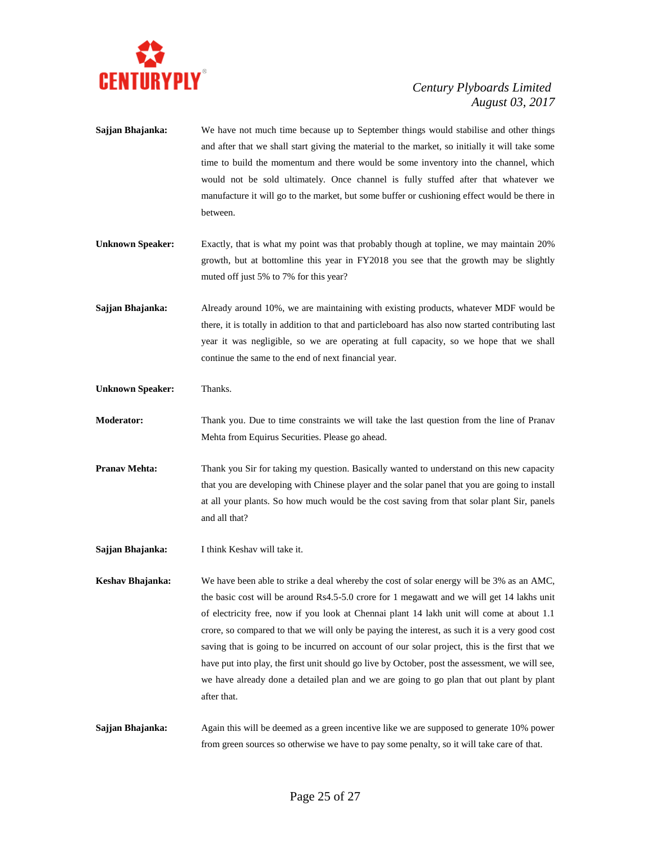

- **Sajjan Bhajanka:** We have not much time because up to September things would stabilise and other things and after that we shall start giving the material to the market, so initially it will take some time to build the momentum and there would be some inventory into the channel, which would not be sold ultimately. Once channel is fully stuffed after that whatever we manufacture it will go to the market, but some buffer or cushioning effect would be there in between.
- **Unknown Speaker:** Exactly, that is what my point was that probably though at topline, we may maintain 20% growth, but at bottomline this year in FY2018 you see that the growth may be slightly muted off just 5% to 7% for this year?
- **Sajjan Bhajanka:** Already around 10%, we are maintaining with existing products, whatever MDF would be there, it is totally in addition to that and particleboard has also now started contributing last year it was negligible, so we are operating at full capacity, so we hope that we shall continue the same to the end of next financial year.

**Unknown Speaker:** Thanks.

- **Moderator:** Thank you. Due to time constraints we will take the last question from the line of Pranav Mehta from Equirus Securities. Please go ahead.
- **Pranav Mehta:** Thank you Sir for taking my question. Basically wanted to understand on this new capacity that you are developing with Chinese player and the solar panel that you are going to install at all your plants. So how much would be the cost saving from that solar plant Sir, panels and all that?
- **Sajjan Bhajanka:** I think Keshav will take it.

**Keshav Bhajanka:** We have been able to strike a deal whereby the cost of solar energy will be 3% as an AMC, the basic cost will be around Rs4.5-5.0 crore for 1 megawatt and we will get 14 lakhs unit of electricity free, now if you look at Chennai plant 14 lakh unit will come at about 1.1 crore, so compared to that we will only be paying the interest, as such it is a very good cost saving that is going to be incurred on account of our solar project, this is the first that we have put into play, the first unit should go live by October, post the assessment, we will see, we have already done a detailed plan and we are going to go plan that out plant by plant after that.

**Sajjan Bhajanka:** Again this will be deemed as a green incentive like we are supposed to generate 10% power from green sources so otherwise we have to pay some penalty, so it will take care of that.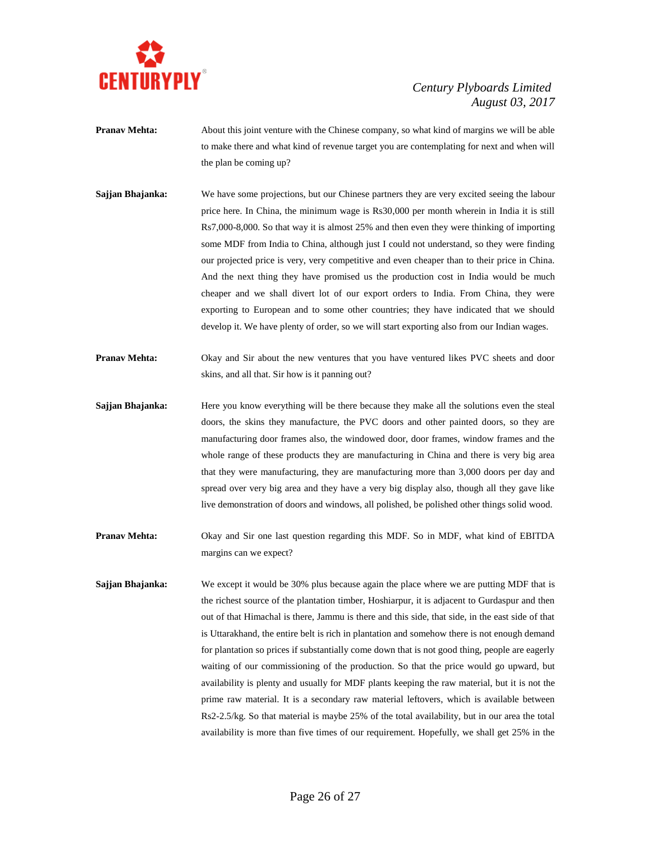

- **Pranav Mehta:** About this joint venture with the Chinese company, so what kind of margins we will be able to make there and what kind of revenue target you are contemplating for next and when will the plan be coming up?
- **Sajjan Bhajanka:** We have some projections, but our Chinese partners they are very excited seeing the labour price here. In China, the minimum wage is Rs30,000 per month wherein in India it is still Rs7,000-8,000. So that way it is almost 25% and then even they were thinking of importing some MDF from India to China, although just I could not understand, so they were finding our projected price is very, very competitive and even cheaper than to their price in China. And the next thing they have promised us the production cost in India would be much cheaper and we shall divert lot of our export orders to India. From China, they were exporting to European and to some other countries; they have indicated that we should develop it. We have plenty of order, so we will start exporting also from our Indian wages.
- **Pranav Mehta:** Okay and Sir about the new ventures that you have ventured likes PVC sheets and door skins, and all that. Sir how is it panning out?
- **Sajjan Bhajanka:** Here you know everything will be there because they make all the solutions even the steal doors, the skins they manufacture, the PVC doors and other painted doors, so they are manufacturing door frames also, the windowed door, door frames, window frames and the whole range of these products they are manufacturing in China and there is very big area that they were manufacturing, they are manufacturing more than 3,000 doors per day and spread over very big area and they have a very big display also, though all they gave like live demonstration of doors and windows, all polished, be polished other things solid wood.
- **Pranav Mehta:** Okay and Sir one last question regarding this MDF. So in MDF, what kind of EBITDA margins can we expect?
- **Sajjan Bhajanka:** We except it would be 30% plus because again the place where we are putting MDF that is the richest source of the plantation timber, Hoshiarpur, it is adjacent to Gurdaspur and then out of that Himachal is there, Jammu is there and this side, that side, in the east side of that is Uttarakhand, the entire belt is rich in plantation and somehow there is not enough demand for plantation so prices if substantially come down that is not good thing, people are eagerly waiting of our commissioning of the production. So that the price would go upward, but availability is plenty and usually for MDF plants keeping the raw material, but it is not the prime raw material. It is a secondary raw material leftovers, which is available between Rs2-2.5/kg. So that material is maybe 25% of the total availability, but in our area the total availability is more than five times of our requirement. Hopefully, we shall get 25% in the